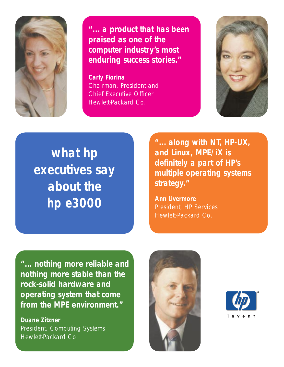

**"... a product that has been praised as one of the computer industry's most enduring success stories."**

**Carly Fiorina** Chairman, President and Chief Executive Officer Hewlett-Packard Co.



**what hp executives say about the hp e3000**

**"... along with NT, HP-UX, and Linux, MPE/iX is definitely a part of HP's multiple operating systems strategy."**

**Ann Livermore** President, HP Services Hewlett-Packard Co.

**"... nothing more reliable and nothing more stable than the rock-solid hardware and operating system that come from the MPE environment."**

**Duane Zitzner** President, Computing Systems Hewlett-Packard Co.